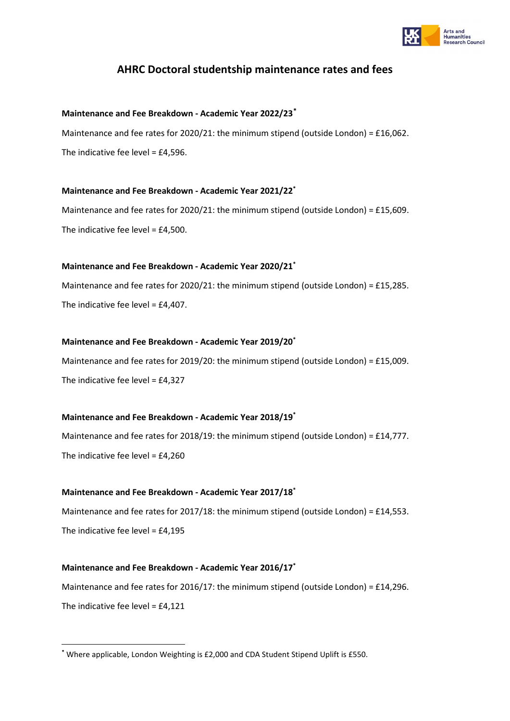

# **AHRC Doctoral studentship maintenance rates and fees**

# **Maintenance and Fee Breakdown - Academic Year 2022/23[\\*](#page-0-0)**

Maintenance and fee rates for 2020/21: the minimum stipend (outside London) = £16,062. The indicative fee level = £4,596.

#### **Maintenance and Fee Breakdown - Academic Year 2021/22\***

Maintenance and fee rates for 2020/21: the minimum stipend (outside London) = £15,609. The indicative fee level = £4,500.

#### **Maintenance and Fee Breakdown - Academic Year 2020/21\***

Maintenance and fee rates for 2020/21: the minimum stipend (outside London) = £15,285. The indicative fee level = £4,407.

#### **Maintenance and Fee Breakdown - Academic Year 2019/20\***

Maintenance and fee rates for 2019/20: the minimum stipend (outside London) = £15,009. The indicative fee level = £4,327

# **Maintenance and Fee Breakdown - Academic Year 2018/19\***

Maintenance and fee rates for 2018/19: the minimum stipend (outside London) = £14,777. The indicative fee level = £4,260

# **Maintenance and Fee Breakdown - Academic Year 2017/18\***

Maintenance and fee rates for 2017/18: the minimum stipend (outside London) = £14,553. The indicative fee level =  $£4,195$ 

# **Maintenance and Fee Breakdown - Academic Year 2016/17\***

Maintenance and fee rates for 2016/17: the minimum stipend (outside London) = £14,296. The indicative fee level = £4,121

<span id="page-0-0"></span>**<sup>\*</sup>** Where applicable, London Weighting is £2,000 and CDA Student Stipend Uplift is £550.